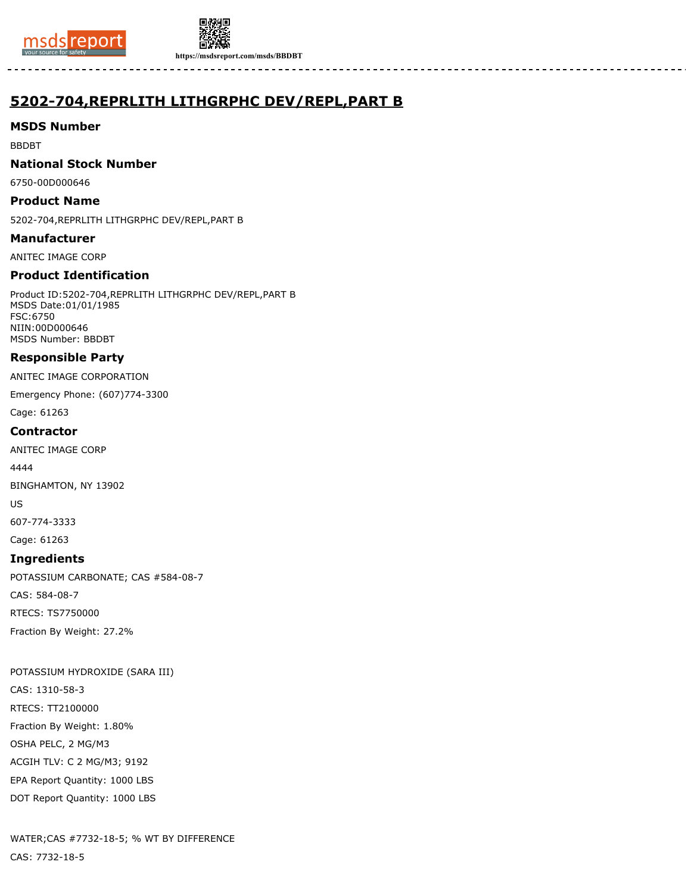



**https://msdsreport.com/msds/BBDBT**

# **5202-704,REPRLITH LITHGRPHC DEV/REPL,PART B**

## **MSDS Number**

BBDBT

## **National Stock Number**

6750-00D000646

## **Product Name**

5202-704,REPRLITH LITHGRPHC DEV/REPL,PART B

**Manufacturer**

ANITEC IMAGE CORP

## **Product Identification**

Product ID:5202-704,REPRLITH LITHGRPHC DEV/REPL,PART B MSDS Date:01/01/1985 FSC:6750 NIIN:00D000646 MSDS Number: BBDBT

## **Responsible Party**

ANITEC IMAGE CORPORATION

Emergency Phone: (607)774-3300

Cage: 61263

## **Contractor**

ANITEC IMAGE CORP

4444

BINGHAMTON, NY 13902

US

607-774-3333

Cage: 61263

### **Ingredients**

POTASSIUM CARBONATE; CAS #584-08-7

CAS: 584-08-7

RTECS: TS7750000

Fraction By Weight: 27.2%

POTASSIUM HYDROXIDE (SARA III) CAS: 1310-58-3 RTECS: TT2100000 Fraction By Weight: 1.80% OSHA PELC, 2 MG/M3 ACGIH TLV: C 2 MG/M3; 9192 EPA Report Quantity: 1000 LBS DOT Report Quantity: 1000 LBS

WATER;CAS #7732-18-5; % WT BY DIFFERENCE CAS: 7732-18-5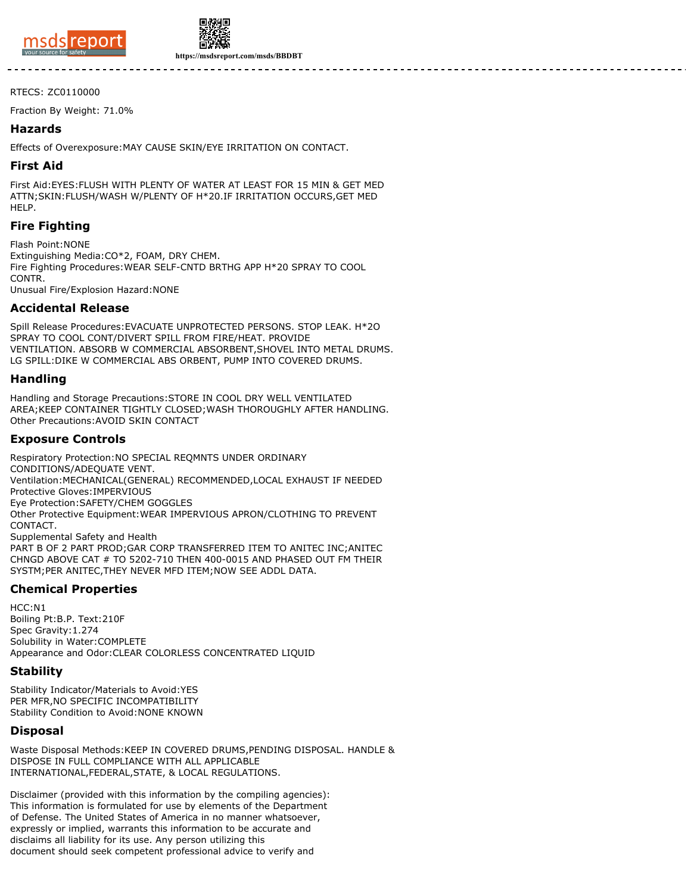



**https://msdsreport.com/msds/BBDBT**

#### RTECS: ZC0110000

Fraction By Weight: 71.0%

### **Hazards**

Effects of Overexposure:MAY CAUSE SKIN/EYE IRRITATION ON CONTACT.

#### **First Aid**

First Aid:EYES:FLUSH WITH PLENTY OF WATER AT LEAST FOR 15 MIN & GET MED ATTN;SKIN:FLUSH/WASH W/PLENTY OF H\*20.IF IRRITATION OCCURS,GET MED HELP.

## **Fire Fighting**

Flash Point:NONE

Extinguishing Media:CO\*2, FOAM, DRY CHEM. Fire Fighting Procedures:WEAR SELF-CNTD BRTHG APP H\*20 SPRAY TO COOL **CONTR** Unusual Fire/Explosion Hazard:NONE

## **Accidental Release**

Spill Release Procedures:EVACUATE UNPROTECTED PERSONS. STOP LEAK. H\*2O SPRAY TO COOL CONT/DIVERT SPILL FROM FIRE/HEAT. PROVIDE VENTILATION. ABSORB W COMMERCIAL ABSORBENT,SHOVEL INTO METAL DRUMS. LG SPILL:DIKE W COMMERCIAL ABS ORBENT, PUMP INTO COVERED DRUMS.

## **Handling**

Handling and Storage Precautions:STORE IN COOL DRY WELL VENTILATED AREA;KEEP CONTAINER TIGHTLY CLOSED;WASH THOROUGHLY AFTER HANDLING. Other Precautions:AVOID SKIN CONTACT

## **Exposure Controls**

Respiratory Protection:NO SPECIAL REQMNTS UNDER ORDINARY CONDITIONS/ADEQUATE VENT. Ventilation:MECHANICAL(GENERAL) RECOMMENDED,LOCAL EXHAUST IF NEEDED Protective Gloves:IMPERVIOUS Eye Protection:SAFETY/CHEM GOGGLES Other Protective Equipment:WEAR IMPERVIOUS APRON/CLOTHING TO PREVENT CONTACT. Supplemental Safety and Health PART B OF 2 PART PROD;GAR CORP TRANSFERRED ITEM TO ANITEC INC;ANITEC CHNGD ABOVE CAT # TO 5202-710 THEN 400-0015 AND PHASED OUT FM THEIR SYSTM;PER ANITEC,THEY NEVER MFD ITEM;NOW SEE ADDL DATA.

## **Chemical Properties**

HCC:N1 Boiling Pt:B.P. Text:210F Spec Gravity:1.274 Solubility in Water:COMPLETE Appearance and Odor:CLEAR COLORLESS CONCENTRATED LIQUID

### **Stability**

Stability Indicator/Materials to Avoid:YES PER MFR,NO SPECIFIC INCOMPATIBILITY Stability Condition to Avoid:NONE KNOWN

### **Disposal**

Waste Disposal Methods:KEEP IN COVERED DRUMS,PENDING DISPOSAL. HANDLE & DISPOSE IN FULL COMPLIANCE WITH ALL APPLICABLE INTERNATIONAL,FEDERAL,STATE, & LOCAL REGULATIONS.

Disclaimer (provided with this information by the compiling agencies): This information is formulated for use by elements of the Department of Defense. The United States of America in no manner whatsoever, expressly or implied, warrants this information to be accurate and disclaims all liability for its use. Any person utilizing this document should seek competent professional advice to verify and